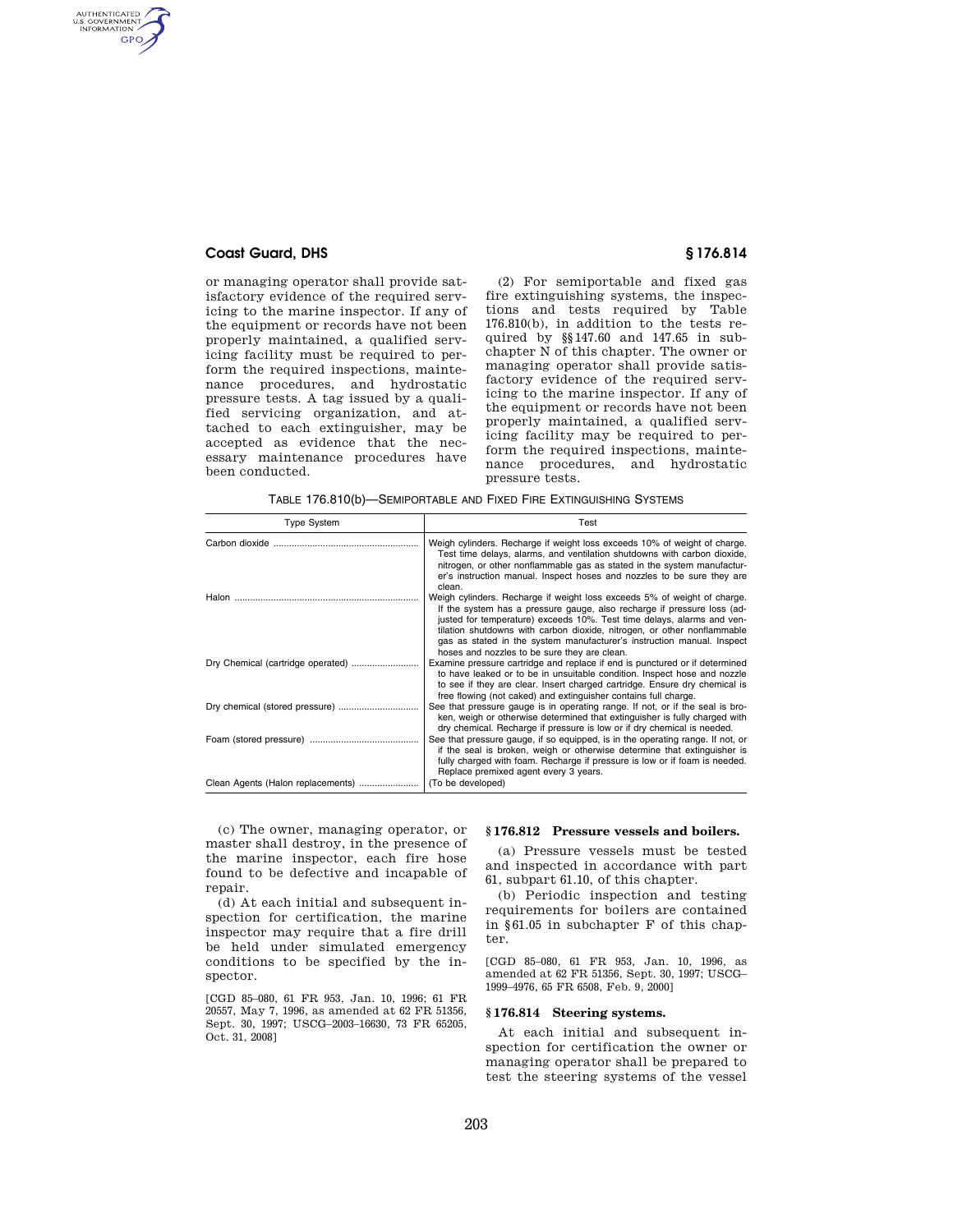# **Coast Guard, DHS § 176.814**

AUTHENTICATED<br>U.S. GOVERNMENT<br>INFORMATION **GPO** 

> or managing operator shall provide satisfactory evidence of the required servicing to the marine inspector. If any of the equipment or records have not been properly maintained, a qualified servicing facility must be required to perform the required inspections, maintenance procedures, and hydrostatic pressure tests. A tag issued by a qualified servicing organization, and attached to each extinguisher, may be accepted as evidence that the necessary maintenance procedures have been conducted.

(2) For semiportable and fixed gas fire extinguishing systems, the inspections and tests required by Table 176.810(b), in addition to the tests required by §§147.60 and 147.65 in subchapter N of this chapter. The owner or managing operator shall provide satisfactory evidence of the required servicing to the marine inspector. If any of the equipment or records have not been properly maintained, a qualified servicing facility may be required to perform the required inspections, maintenance procedures, and hydrostatic pressure tests.

TABLE 176.810(b)—SEMIPORTABLE AND FIXED FIRE EXTINGUISHING SYSTEMS

| <b>Type System</b>                | Test                                                                                                                                                                                                                                                                                                                                                                                                                               |
|-----------------------------------|------------------------------------------------------------------------------------------------------------------------------------------------------------------------------------------------------------------------------------------------------------------------------------------------------------------------------------------------------------------------------------------------------------------------------------|
|                                   | Weigh cylinders. Recharge if weight loss exceeds 10% of weight of charge.<br>Test time delays, alarms, and ventilation shutdowns with carbon dioxide,<br>nitrogen, or other nonflammable gas as stated in the system manufactur-<br>er's instruction manual. Inspect hoses and nozzles to be sure they are<br>clean.                                                                                                               |
|                                   | Weigh cylinders. Recharge if weight loss exceeds 5% of weight of charge.<br>If the system has a pressure gauge, also recharge if pressure loss (ad-<br>justed for temperature) exceeds 10%. Test time delays, alarms and ven-<br>tilation shutdowns with carbon dioxide, nitrogen, or other nonflammable<br>gas as stated in the system manufacturer's instruction manual. Inspect<br>hoses and nozzles to be sure they are clean. |
|                                   | Examine pressure cartridge and replace if end is punctured or if determined<br>to have leaked or to be in unsuitable condition. Inspect hose and nozzle<br>to see if they are clear. Insert charged cartridge. Ensure dry chemical is<br>free flowing (not caked) and extinguisher contains full charge.                                                                                                                           |
|                                   | See that pressure gauge is in operating range. If not, or if the seal is bro-<br>ken, weigh or otherwise determined that extinguisher is fully charged with<br>dry chemical. Recharge if pressure is low or if dry chemical is needed.                                                                                                                                                                                             |
|                                   | See that pressure gauge, if so equipped, is in the operating range. If not, or<br>if the seal is broken, weigh or otherwise determine that extinguisher is<br>fully charged with foam. Recharge if pressure is low or if foam is needed.<br>Replace premixed agent every 3 years.                                                                                                                                                  |
| Clean Agents (Halon replacements) | (To be developed)                                                                                                                                                                                                                                                                                                                                                                                                                  |

(c) The owner, managing operator, or master shall destroy, in the presence of the marine inspector, each fire hose found to be defective and incapable of repair.

(d) At each initial and subsequent inspection for certification, the marine inspector may require that a fire drill be held under simulated emergency conditions to be specified by the inspector.

[CGD 85–080, 61 FR 953, Jan. 10, 1996; 61 FR 20557, May 7, 1996, as amended at 62 FR 51356, Sept. 30, 1997; USCG–2003–16630, 73 FR 65205, Oct. 31, 2008]

# **§ 176.812 Pressure vessels and boilers.**

(a) Pressure vessels must be tested and inspected in accordance with part 61, subpart 61.10, of this chapter.

(b) Periodic inspection and testing requirements for boilers are contained in §61.05 in subchapter F of this chapter.

[CGD 85–080, 61 FR 953, Jan. 10, 1996, as amended at 62 FR 51356, Sept. 30, 1997; USCG– 1999–4976, 65 FR 6508, Feb. 9, 2000]

#### **§ 176.814 Steering systems.**

At each initial and subsequent inspection for certification the owner or managing operator shall be prepared to test the steering systems of the vessel